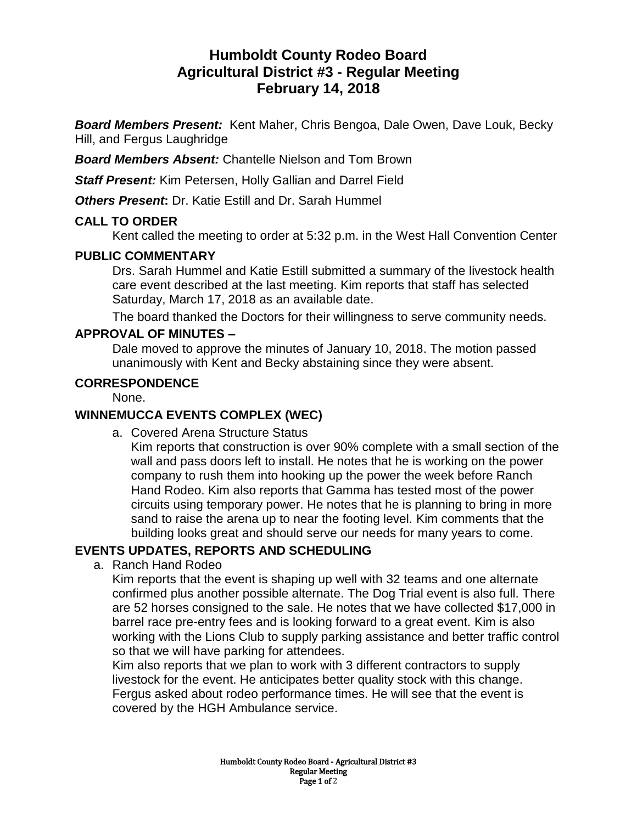# **Humboldt County Rodeo Board Agricultural District #3 - Regular Meeting February 14, 2018**

*Board Members Present:* Kent Maher, Chris Bengoa, Dale Owen, Dave Louk, Becky Hill, and Fergus Laughridge

*Board Members Absent:* Chantelle Nielson and Tom Brown

*Staff Present:* Kim Petersen, Holly Gallian and Darrel Field

*Others Present***:** Dr. Katie Estill and Dr. Sarah Hummel

### **CALL TO ORDER**

Kent called the meeting to order at 5:32 p.m. in the West Hall Convention Center

### **PUBLIC COMMENTARY**

Drs. Sarah Hummel and Katie Estill submitted a summary of the livestock health care event described at the last meeting. Kim reports that staff has selected Saturday, March 17, 2018 as an available date.

The board thanked the Doctors for their willingness to serve community needs.

## **APPROVAL OF MINUTES –**

Dale moved to approve the minutes of January 10, 2018. The motion passed unanimously with Kent and Becky abstaining since they were absent.

## **CORRESPONDENCE**

None.

## **WINNEMUCCA EVENTS COMPLEX (WEC)**

a. Covered Arena Structure Status

Kim reports that construction is over 90% complete with a small section of the wall and pass doors left to install. He notes that he is working on the power company to rush them into hooking up the power the week before Ranch Hand Rodeo. Kim also reports that Gamma has tested most of the power circuits using temporary power. He notes that he is planning to bring in more sand to raise the arena up to near the footing level. Kim comments that the building looks great and should serve our needs for many years to come.

## **EVENTS UPDATES, REPORTS AND SCHEDULING**

a. Ranch Hand Rodeo

Kim reports that the event is shaping up well with 32 teams and one alternate confirmed plus another possible alternate. The Dog Trial event is also full. There are 52 horses consigned to the sale. He notes that we have collected \$17,000 in barrel race pre-entry fees and is looking forward to a great event. Kim is also working with the Lions Club to supply parking assistance and better traffic control so that we will have parking for attendees.

Kim also reports that we plan to work with 3 different contractors to supply livestock for the event. He anticipates better quality stock with this change. Fergus asked about rodeo performance times. He will see that the event is covered by the HGH Ambulance service.